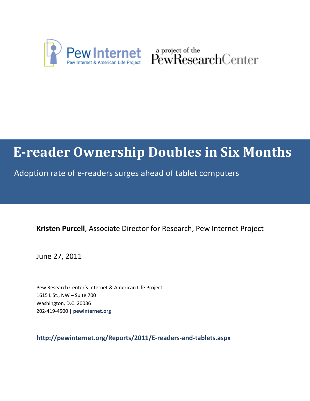

Pew Internet & American Life Project PewResearchCenter

# **E-reader Ownership Doubles in Six Months**

Adoption rate of e-readers surges ahead of tablet computers

**Kristen Purcell**, Associate Director for Research, Pew Internet Project

June 27, 2011

Pew Research Center's Internet & American Life Project 1615 L St., NW – Suite 700 Washington, D.C. 20036 202-419-4500 | **pewinternet.org**

**http://pewinternet.org/Reports/2011/E-readers-and-tablets.aspx**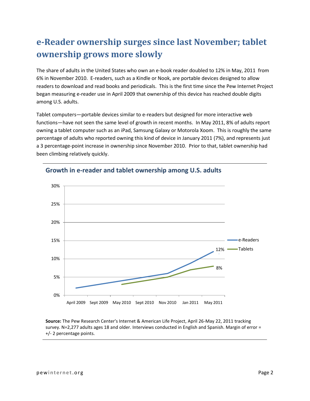# **e-Reader ownership surges since last November; tablet ownership grows more slowly**

The share of adults in the United States who own an e-book reader doubled to 12% in May, 2011 from 6% in November 2010. E-readers, such as a Kindle or Nook, are portable devices designed to allow readers to download and read books and periodicals. This is the first time since the Pew Internet Project began measuring e-reader use in April 2009 that ownership of this device has reached double digits among U.S. adults.

Tablet computers—portable devices similar to e-readers but designed for more interactive web functions—have not seen the same level of growth in recent months. In May 2011, 8% of adults report owning a tablet computer such as an iPad, Samsung Galaxy or Motorola Xoom. This is roughly the same percentage of adults who reported owning this kind of device in January 2011 (7%), and represents just a 3 percentage-point increase in ownership since November 2010. Prior to that, tablet ownership had been climbing relatively quickly.



### **Growth in e-reader and tablet ownership among U.S. adults**

**Source:** The Pew Research Center's Internet & American Life Project, April 26-May 22, 2011 tracking survey. N=2,277 adults ages 18 and older. Interviews conducted in English and Spanish. Margin of error = +/- 2 percentage points.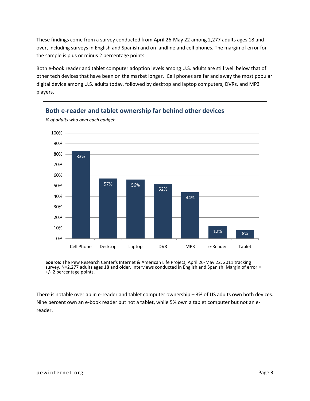These findings come from a survey conducted from April 26-May 22 among 2,277 adults ages 18 and over, including surveys in English and Spanish and on landline and cell phones. The margin of error for the sample is plus or minus 2 percentage points.

Both e-book reader and tablet computer adoption levels among U.S. adults are still well below that of other tech devices that have been on the market longer. Cell phones are far and away the most popular digital device among U.S. adults today, followed by desktop and laptop computers, DVRs, and MP3 players.



**Both e-reader and tablet ownership far behind other devices**

**Source:** The Pew Research Center's Internet & American Life Project, April 26-May 22, 2011 tracking survey. N=2,277 adults ages 18 and older. Interviews conducted in English and Spanish. Margin of error = +/- 2 percentage points.

There is notable overlap in e-reader and tablet computer ownership – 3% of US adults own both devices. Nine percent own an e-book reader but not a tablet, while 5% own a tablet computer but not an ereader.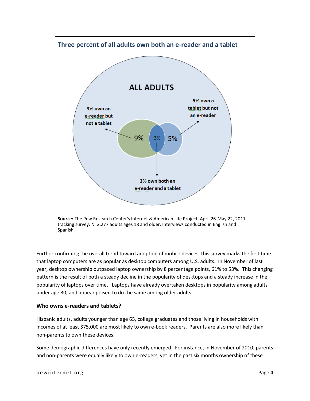#### **Three percent of all adults own both an e-reader and a tablet**



Further confirming the overall trend toward adoption of mobile devices, this survey marks the first time that laptop computers are as popular as desktop computers among U.S. adults. In November of last year, desktop ownership outpaced laptop ownership by 8 percentage points, 61% to 53%. This changing pattern is the result of both a steady decline in the popularity of desktops and a steady increase in the popularity of laptops over time. Laptops have already overtaken desktops in popularity among adults under age 30, and appear poised to do the same among older adults.

#### **Who owns e-readers and tablets?**

Hispanic adults, adults younger than age 65, college graduates and those living in households with incomes of at least \$75,000 are most likely to own e-book readers. Parents are also more likely than non-parents to own these devices.

Some demographic differences have only recently emerged. For instance, in November of 2010, parents and non-parents were equally likely to own e-readers, yet in the past six months ownership of these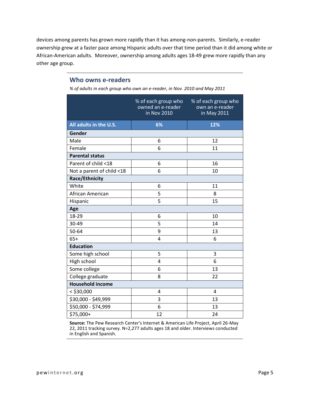devices among parents has grown more rapidly than it has among-non-parents. Similarly, e-reader ownership grew at a faster pace among Hispanic adults over that time period than it did among white or African-American adults. Moreover, ownership among adults ages 18-49 grew more rapidly than any other age group.

#### **Who owns e-readers**

*% of adults in each group who own an e-reader, in Nov. 2010 and May 2011*

|                           | % of each group who<br>owned an e-reader<br>in Nov 2010 | % of each group who<br>own an e-reader<br>in May 2011 |  |  |  |
|---------------------------|---------------------------------------------------------|-------------------------------------------------------|--|--|--|
| All adults in the U.S.    | 6%                                                      | 12%                                                   |  |  |  |
| Gender                    |                                                         |                                                       |  |  |  |
| Male                      | 6                                                       | 12                                                    |  |  |  |
| Female                    | 6                                                       | 11                                                    |  |  |  |
| <b>Parental status</b>    |                                                         |                                                       |  |  |  |
| Parent of child <18       | 6                                                       | 16                                                    |  |  |  |
| Not a parent of child <18 | 6                                                       | 10                                                    |  |  |  |
| Race/Ethnicity            |                                                         |                                                       |  |  |  |
| White                     | 6                                                       | 11                                                    |  |  |  |
| African American          | 5                                                       | 8                                                     |  |  |  |
| Hispanic                  | 5                                                       | 15                                                    |  |  |  |
| Age                       |                                                         |                                                       |  |  |  |
| 18-29                     | 6                                                       | 10                                                    |  |  |  |
| 30-49                     | 5                                                       | 14                                                    |  |  |  |
| 50-64                     | 9                                                       | 13                                                    |  |  |  |
| $65+$                     | 4                                                       | 6                                                     |  |  |  |
| <b>Education</b>          |                                                         |                                                       |  |  |  |
| Some high school          | 5                                                       | 3                                                     |  |  |  |
| High school               | 4                                                       | 6                                                     |  |  |  |
| Some college              | 6                                                       | 13                                                    |  |  |  |
| College graduate          | 8                                                       | 22                                                    |  |  |  |
| <b>Household income</b>   |                                                         |                                                       |  |  |  |
| $<$ \$30,000              | 4                                                       | 4                                                     |  |  |  |
| \$30,000 - \$49,999       | 3                                                       | 13                                                    |  |  |  |
| \$50,000 - \$74,999       | 6                                                       | 13                                                    |  |  |  |
| \$75,000+                 | 12                                                      | 24                                                    |  |  |  |

**Source:** The Pew Research Center's Internet & American Life Project, April 26-May 22, 2011 tracking survey. N=2,277 adults ages 18 and older. Interviews conducted in English and Spanish.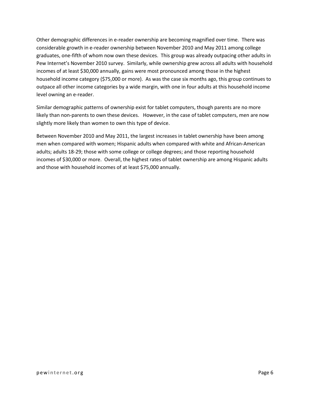Other demographic differences in e-reader ownership are becoming magnified over time. There was considerable growth in e-reader ownership between November 2010 and May 2011 among college graduates, one-fifth of whom now own these devices. This group was already outpacing other adults in Pew Internet's November 2010 survey. Similarly, while ownership grew across all adults with household incomes of at least \$30,000 annually, gains were most pronounced among those in the highest household income category (\$75,000 or more). As was the case six months ago, this group continues to outpace all other income categories by a wide margin, with one in four adults at this household income level owning an e-reader.

Similar demographic patterns of ownership exist for tablet computers, though parents are no more likely than non-parents to own these devices. However, in the case of tablet computers, men are now slightly more likely than women to own this type of device.

Between November 2010 and May 2011, the largest increases in tablet ownership have been among men when compared with women; Hispanic adults when compared with white and African-American adults; adults 18-29; those with some college or college degrees; and those reporting household incomes of \$30,000 or more. Overall, the highest rates of tablet ownership are among Hispanic adults and those with household incomes of at least \$75,000 annually.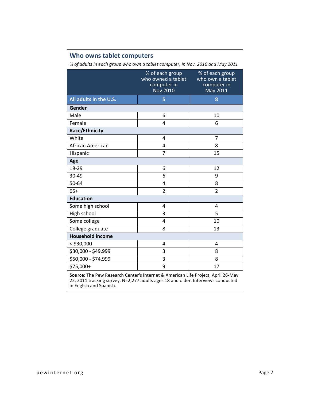### **Who owns tablet computers**

*% of adults in each group who own a tablet computer, in Nov. 2010 and May 2011*

|                         | % of each group<br>who owned a tablet<br>computer in<br><b>Nov 2010</b> | % of each group<br>who own a tablet<br>computer in<br>May 2011 |  |  |
|-------------------------|-------------------------------------------------------------------------|----------------------------------------------------------------|--|--|
| All adults in the U.S.  | 5                                                                       | 8                                                              |  |  |
| Gender                  |                                                                         |                                                                |  |  |
| Male                    | 6                                                                       | 10                                                             |  |  |
| Female                  | 4                                                                       | 6                                                              |  |  |
| Race/Ethnicity          |                                                                         |                                                                |  |  |
| White                   | 4                                                                       | $\overline{7}$                                                 |  |  |
| African American        | 4                                                                       | 8                                                              |  |  |
| Hispanic                | 7                                                                       | 15                                                             |  |  |
| Age                     |                                                                         |                                                                |  |  |
| 18-29                   | 6                                                                       | 12                                                             |  |  |
| 30-49                   | 6                                                                       | 9                                                              |  |  |
| 50-64                   | 4                                                                       | 8                                                              |  |  |
| $65+$                   | $\overline{2}$                                                          | $\overline{2}$                                                 |  |  |
| <b>Education</b>        |                                                                         |                                                                |  |  |
| Some high school        | 4                                                                       | 4                                                              |  |  |
| High school             | 3                                                                       | 5                                                              |  |  |
| Some college            | 4                                                                       | 10                                                             |  |  |
| College graduate        | 8                                                                       | 13                                                             |  |  |
| <b>Household income</b> |                                                                         |                                                                |  |  |
| $<$ \$30,000            | 4                                                                       | 4                                                              |  |  |
| \$30,000 - \$49,999     | 3                                                                       | 8                                                              |  |  |
| \$50,000 - \$74,999     | 3                                                                       | 8                                                              |  |  |
| \$75,000+               | 9                                                                       | 17                                                             |  |  |

**Source:** The Pew Research Center's Internet & American Life Project, April 26-May 22, 2011 tracking survey. N=2,277 adults ages 18 and older. Interviews conducted in English and Spanish.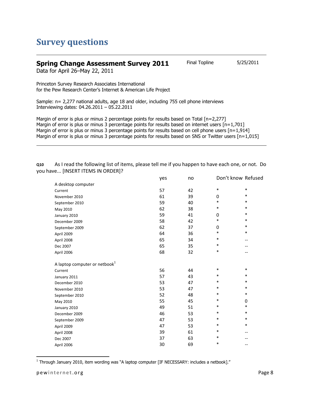## **Survey questions**

### **Spring Change Assessment Survey 2011** Final Topline 5/25/2011

Data for April 26–May 22, 2011

Princeton Survey Research Associates International for the Pew Research Center's Internet & American Life Project

Sample: n= 2,277 national adults, age 18 and older, including 755 cell phone interviews Interviewing dates: 04.26.2011 – 05.22.2011

Margin of error is plus or minus 2 percentage points for results based on Total [n=2,277] Margin of error is plus or minus 3 percentage points for results based on internet users [n=1,701] Margin of error is plus or minus 3 percentage points for results based on cell phone users [n=1,914] Margin of error is plus or minus 3 percentage points for results based on SNS or Twitter users [n=1,015]

**Q10** As I read the following list of items, please tell me if you happen to have each one, or not. Do you have... [INSERT ITEMS IN ORDER]?

|                                           | yes | no | Don't know Refused |        |
|-------------------------------------------|-----|----|--------------------|--------|
| A desktop computer                        |     |    |                    |        |
| Current                                   | 57  | 42 | $\ast$             | $\ast$ |
| November 2010                             | 61  | 39 | 0                  | $\ast$ |
| September 2010                            | 59  | 40 | *                  | $\ast$ |
| May 2010                                  | 62  | 38 | *                  | *      |
| January 2010                              | 59  | 41 | 0                  | $\ast$ |
| December 2009                             | 58  | 42 | $\ast$             | $\ast$ |
| September 2009                            | 62  | 37 | 0                  | *      |
| April 2009                                | 64  | 36 | *                  | $\ast$ |
| April 2008                                | 65  | 34 | *                  | $-$    |
| Dec 2007                                  | 65  | 35 | $\ast$             | --     |
| April 2006                                | 68  | 32 | $\ast$             | --     |
| A laptop computer or netbook <sup>1</sup> |     |    |                    |        |
| Current                                   | 56  | 44 | *                  | ∗      |
| January 2011                              | 57  | 43 | *                  | $\ast$ |
| December 2010                             | 53  | 47 | *                  | $\ast$ |
| November 2010                             | 53  | 47 | *                  | $\ast$ |
| September 2010                            | 52  | 48 | *                  | $\ast$ |
| May 2010                                  | 55  | 45 | *                  | 0      |
| January 2010                              | 49  | 51 | *                  | ∗      |
| December 2009                             | 46  | 53 | *                  | *      |
| September 2009                            | 47  | 53 | $\ast$             | $\ast$ |
| April 2009                                | 47  | 53 | $\ast$             | $\ast$ |
| April 2008                                | 39  | 61 | *                  | --     |
| Dec 2007                                  | 37  | 63 | *                  | --     |
| April 2006                                | 30  | 69 | *                  | --     |
|                                           |     |    |                    |        |

 $\overline{a}$ 1 Through January 2010, item wording was "A laptop computer [IF NECESSARY: includes a netbook]."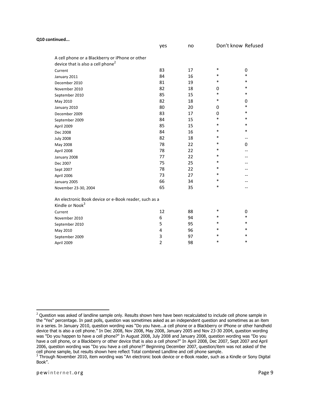| Q10 continued                                 |                                                       |                |    |        |                    |
|-----------------------------------------------|-------------------------------------------------------|----------------|----|--------|--------------------|
|                                               |                                                       | yes            | no |        | Don't know Refused |
| device that is also a cell phone <sup>2</sup> | A cell phone or a Blackberry or iPhone or other       |                |    |        |                    |
| Current                                       |                                                       | 83             | 17 | $\ast$ | 0                  |
| January 2011                                  |                                                       | 84             | 16 | $\ast$ | $\ast$             |
| December 2010                                 |                                                       | 81             | 19 | $\ast$ | $\ast$             |
| November 2010                                 |                                                       | 82             | 18 | 0      | $\ast$             |
| September 2010                                |                                                       | 85             | 15 | $\ast$ | $\ast$             |
| May 2010                                      |                                                       | 82             | 18 | $\ast$ | 0                  |
| January 2010                                  |                                                       | 80             | 20 | 0      | $\ast$             |
| December 2009                                 |                                                       | 83             | 17 | 0      | $\ast$             |
| September 2009                                |                                                       | 84             | 15 | $\ast$ | *                  |
| April 2009                                    |                                                       | 85             | 15 | $\ast$ | *                  |
| Dec 2008                                      |                                                       | 84             | 16 | $\ast$ | $\ast$             |
| <b>July 2008</b>                              |                                                       | 82             | 18 | $\ast$ | --                 |
| May 2008                                      |                                                       | 78             | 22 | $\ast$ | 0                  |
| April 2008                                    |                                                       | 78             | 22 | $\ast$ |                    |
| January 2008                                  |                                                       | 77             | 22 | $\ast$ |                    |
| Dec 2007                                      |                                                       | 75             | 25 | $\ast$ |                    |
| Sept 2007                                     |                                                       | 78             | 22 | $\ast$ |                    |
| April 2006                                    |                                                       | 73             | 27 | $\ast$ |                    |
| January 2005                                  |                                                       | 66             | 34 | $\ast$ |                    |
| November 23-30, 2004                          |                                                       | 65             | 35 | $\ast$ | --                 |
| Kindle or Nook <sup>3</sup>                   | An electronic Book device or e-Book reader, such as a |                |    |        |                    |
| Current                                       |                                                       | 12             | 88 | $\ast$ | $\boldsymbol{0}$   |
| November 2010                                 |                                                       | 6              | 94 | $\ast$ | $\ast$             |
| September 2010                                |                                                       | 5              | 95 | $\ast$ | $\ast$             |
| May 2010                                      |                                                       | 4              | 96 | $\ast$ | *                  |
| September 2009                                |                                                       | 3              | 97 | *      | *                  |
| April 2009                                    |                                                       | $\overline{2}$ | 98 | *      | $\ast$             |

 $\overline{\phantom{a}}$ 

 $^2$  Question was asked of landline sample only. Results shown here have been recalculated to include cell phone sample in the "Yes" percentage. In past polls, question was sometimes asked as an independent question and sometimes as an item in a series. In January 2010, question wording was "Do you have...a cell phone or a Blackberry or iPhone or other handheld device that is also a cell phone." In Dec 2008, Nov 2008, May 2008, January 2005 and Nov 23-30 2004, question wording was "Do you happen to have a cell phone?" In August 2008, July 2008 and January 2008, question wording was "Do you have a cell phone, or a Blackberry or other device that is also a cell phone?" In April 2008, Dec 2007, Sept 2007 and April 2006, question wording was "Do you have a cell phone?" Beginning December 2007, question/item was not asked of the cell phone sample, but results shown here reflect Total combined Landline and cell phone sample.

 $3$  Through November 2010, item wording was "An electronic book device or e-Book reader, such as a Kindle or Sony Digital Book".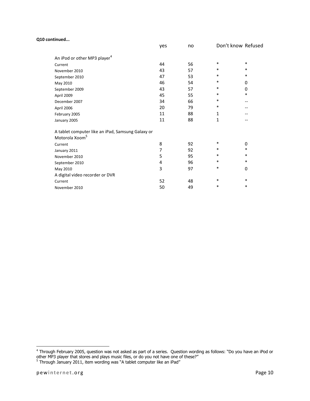#### **Q10 continued...**

|                                                                                 | yes | no | Don't know Refused |        |
|---------------------------------------------------------------------------------|-----|----|--------------------|--------|
| An iPod or other MP3 player <sup>4</sup>                                        |     |    |                    |        |
| Current                                                                         | 44  | 56 | *                  | $\ast$ |
| November 2010                                                                   | 43  | 57 | *                  | $\ast$ |
| September 2010                                                                  | 47  | 53 | *                  | $\ast$ |
| May 2010                                                                        | 46  | 54 | $\ast$             | 0      |
| September 2009                                                                  | 43  | 57 | *                  | 0      |
| April 2009                                                                      | 45  | 55 | *                  | $\ast$ |
| December 2007                                                                   | 34  | 66 | *                  | --     |
| April 2006                                                                      | 20  | 79 | *                  |        |
| February 2005                                                                   | 11  | 88 | 1                  |        |
| January 2005                                                                    | 11  | 88 | $\mathbf{1}$       |        |
| A tablet computer like an iPad, Samsung Galaxy or<br>Motorola Xoom <sup>5</sup> |     |    |                    |        |
| Current                                                                         | 8   | 92 | *                  | 0      |
| January 2011                                                                    | 7   | 92 | *                  | $\ast$ |
| November 2010                                                                   | 5   | 95 | *                  | $\ast$ |
| September 2010                                                                  | 4   | 96 | *                  | $\ast$ |
| May 2010                                                                        | 3   | 97 | *                  | 0      |
| A digital video recorder or DVR                                                 |     |    |                    |        |
| Current                                                                         | 52  | 48 | *                  | $\ast$ |
| November 2010                                                                   | 50  | 49 | *                  | $\ast$ |
|                                                                                 |     |    |                    |        |

 4 Through February 2005, question was not asked as part of a series. Question wording as follows: "Do you have an iPod or other MP3 player that stores and plays music files, or do you not have one of these?"<br><sup>5</sup> Through January 2011, item wording was "A tablet computer like an iPad"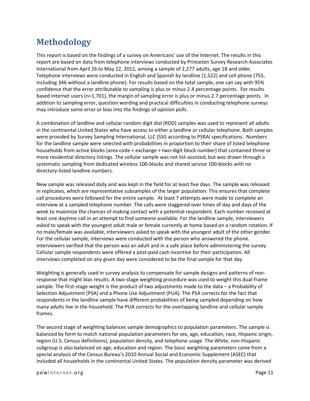# **Methodology**

This report is based on the findings of a survey on Americans' use of the Internet. The results in this report are based on data from telephone interviews conducted by Princeton Survey Research Associates International from April 26 to May 22, 2011, among a sample of 2,277 adults, age 18 and older. Telephone interviews were conducted in English and Spanish by landline (1,522) and cell phone (755, including 346 without a landline phone). For results based on the total sample, one can say with 95% confidence that the error attributable to sampling is plus or minus 2.4 percentage points. For results based Internet users (n=1,701), the margin of sampling error is plus or minus 2.7 percentage points. In addition to sampling error, question wording and practical difficulties in conducting telephone surveys may introduce some error or bias into the findings of opinion polls.

A combination of landline and cellular random digit dial (RDD) samples was used to represent all adults in the continental United States who have access to either a landline or cellular telephone. Both samples were provided by Survey Sampling International, LLC (SSI) according to PSRAI specifications. Numbers for the landline sample were selected with probabilities in proportion to their share of listed telephone households from active blocks (area code + exchange + two-digit block number) that contained three or more residential directory listings. The cellular sample was not list-assisted, but was drawn through a systematic sampling from dedicated wireless 100-blocks and shared service 100-blocks with no directory-listed landline numbers.

New sample was released daily and was kept in the field for at least five days. The sample was released in replicates, which are representative subsamples of the larger population. This ensures that complete call procedures were followed for the entire sample. At least 7 attempts were made to complete an interview at a sampled telephone number. The calls were staggered over times of day and days of the week to maximize the chances of making contact with a potential respondent. Each number received at least one daytime call in an attempt to find someone available. For the landline sample, interviewers asked to speak with the youngest adult male or female currently at home based on a random rotation. If no male/female was available, interviewers asked to speak with the youngest adult of the other gender. For the cellular sample, interviews were conducted with the person who answered the phone. Interviewers verified that the person was an adult and in a safe place before administering the survey. Cellular sample respondents were offered a post-paid cash incentive for their participation. All interviews completed on any given day were considered to be the final sample for that day.

Weighting is generally used in survey analysis to compensate for sample designs and patterns of nonresponse that might bias results. A two-stage weighting procedure was used to weight this dual-frame sample. The first-stage weight is the product of two adjustments made to the data – a Probability of Selection Adjustment (PSA) and a Phone Use Adjustment (PUA). The PSA corrects for the fact that respondents in the landline sample have different probabilities of being sampled depending on how many adults live in the household. The PUA corrects for the overlapping landline and cellular sample frames.

The second stage of weighting balances sample demographics to population parameters. The sample is balanced by form to match national population parameters for sex, age, education, race, Hispanic origin, region (U.S. Census definitions), population density, and telephone usage. The White, non-Hispanic subgroup is also balanced on age, education and region. The basic weighting parameters came from a special analysis of the Census Bureau's 2010 Annual Social and Economic Supplement (ASEC) that included all households in the continental United States. The population density parameter was derived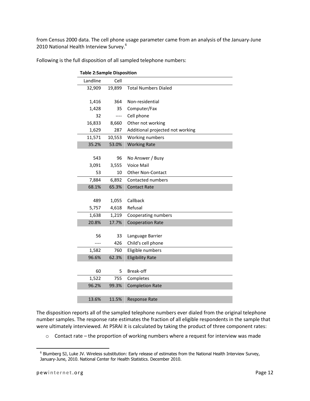from Census 2000 data. The cell phone usage parameter came from an analysis of the January-June 2010 National Health Interview Survey.<sup>6</sup>

| <b>Table 2:Sample Disposition</b> |        |                                  |
|-----------------------------------|--------|----------------------------------|
| Landline                          | Cell   |                                  |
| 32,909                            | 19,899 | <b>Total Numbers Dialed</b>      |
|                                   |        |                                  |
| 1,416                             | 364    | Non-residential                  |
| 1,428                             | 35     | Computer/Fax                     |
| 32                                | ----   | Cell phone                       |
| 16,833                            | 8,660  | Other not working                |
| 1,629                             | 287    | Additional projected not working |
| 11,571                            | 10,553 | Working numbers                  |
| 35.2%                             | 53.0%  | <b>Working Rate</b>              |
|                                   |        |                                  |
| 543                               | 96     | No Answer / Busy                 |
| 3,091                             | 3,555  | Voice Mail                       |
| 53                                | 10     | <b>Other Non-Contact</b>         |
| 7,884                             | 6,892  | Contacted numbers                |
| 68.1%                             | 65.3%  | <b>Contact Rate</b>              |
|                                   |        |                                  |
| 489                               | 1,055  | Callback                         |
| 5,757                             | 4,618  | Refusal                          |
| 1,638                             | 1,219  | Cooperating numbers              |
| 20.8%                             | 17.7%  | <b>Cooperation Rate</b>          |
|                                   |        |                                  |
| 56                                | 33     | Language Barrier                 |
|                                   | 426    | Child's cell phone               |
| 1,582                             | 760    | Eligible numbers                 |
| 96.6%                             | 62.3%  | <b>Eligibility Rate</b>          |
|                                   |        |                                  |
| 60                                | 5      | Break-off                        |
| 1,522                             | 755    | Completes                        |
| 96.2%                             | 99.3%  | <b>Completion Rate</b>           |
|                                   |        |                                  |
| 13.6%                             | 11.5%  | <b>Response Rate</b>             |

Following is the full disposition of all sampled telephone numbers:

The disposition reports all of the sampled telephone numbers ever dialed from the original telephone number samples. The response rate estimates the fraction of all eligible respondents in the sample that were ultimately interviewed. At PSRAI it is calculated by taking the product of three component rates:

 $\circ$  Contact rate – the proportion of working numbers where a request for interview was made

 $\overline{\phantom{a}}$ 

<sup>&</sup>lt;sup>6</sup> Blumberg SJ, Luke JV. Wireless substitution: Early release of estimates from the National Health Interview Survey, January-June, 2010. National Center for Health Statistics. December 2010.